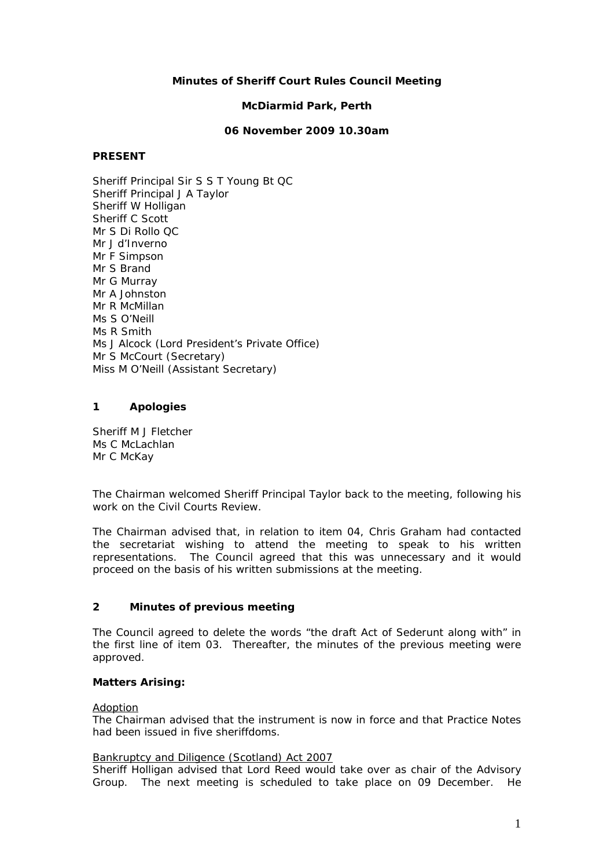## **Minutes of Sheriff Court Rules Council Meeting**

#### **McDiarmid Park, Perth**

#### **06 November 2009 10.30am**

#### **PRESENT**

Sheriff Principal Sir S S T Young Bt QC Sheriff Principal J A Taylor Sheriff W Holligan Sheriff C Scott Mr S Di Rollo QC Mr J d'Inverno Mr F Simpson Mr S Brand Mr G Murray Mr A Johnston Mr R McMillan Ms S O'Neill Ms R Smith Ms J Alcock (Lord President's Private Office) Mr S McCourt (Secretary) Miss M O'Neill (Assistant Secretary)

### **1 Apologies**

Sheriff M J Fletcher Ms C McLachlan Mr C McKay

The Chairman welcomed Sheriff Principal Taylor back to the meeting, following his work on the Civil Courts Review.

The Chairman advised that, in relation to item 04, Chris Graham had contacted the secretariat wishing to attend the meeting to speak to his written representations. The Council agreed that this was unnecessary and it would proceed on the basis of his written submissions at the meeting.

### **2 Minutes of previous meeting**

The Council agreed to delete the words "the draft Act of Sederunt along with" in the first line of item 03. Thereafter, the minutes of the previous meeting were approved.

### **Matters Arising:**

#### Adoption

The Chairman advised that the instrument is now in force and that Practice Notes had been issued in five sheriffdoms.

#### Bankruptcy and Diligence (Scotland) Act 2007

Sheriff Holligan advised that Lord Reed would take over as chair of the Advisory Group. The next meeting is scheduled to take place on 09 December. He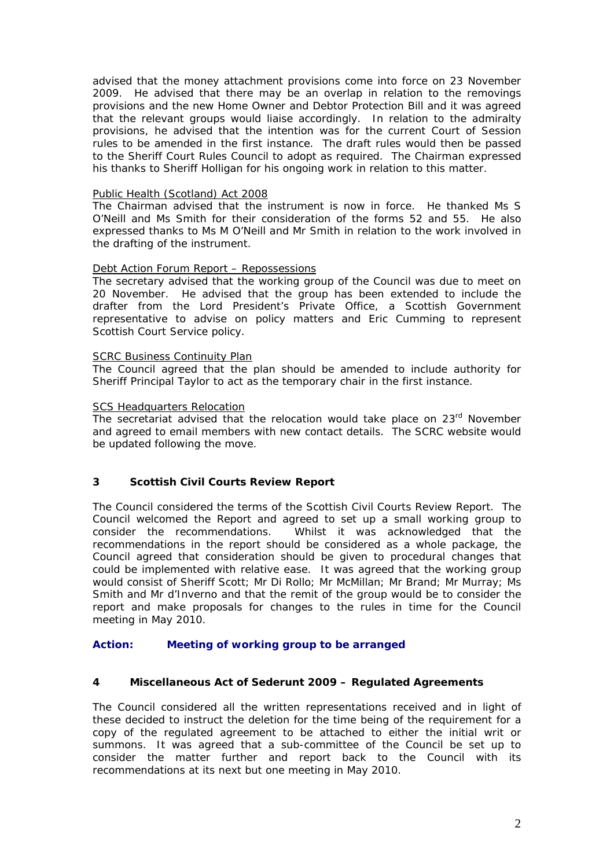advised that the money attachment provisions come into force on 23 November 2009. He advised that there may be an overlap in relation to the removings provisions and the new Home Owner and Debtor Protection Bill and it was agreed that the relevant groups would liaise accordingly. In relation to the admiralty provisions, he advised that the intention was for the current Court of Session rules to be amended in the first instance. The draft rules would then be passed to the Sheriff Court Rules Council to adopt as required. The Chairman expressed his thanks to Sheriff Holligan for his ongoing work in relation to this matter.

## Public Health (Scotland) Act 2008

The Chairman advised that the instrument is now in force. He thanked Ms S O'Neill and Ms Smith for their consideration of the forms 52 and 55. He also expressed thanks to Ms M O'Neill and Mr Smith in relation to the work involved in the drafting of the instrument.

## Debt Action Forum Report – Repossessions

The secretary advised that the working group of the Council was due to meet on 20 November. He advised that the group has been extended to include the drafter from the Lord President's Private Office, a Scottish Government representative to advise on policy matters and Eric Cumming to represent Scottish Court Service policy.

### SCRC Business Continuity Plan

The Council agreed that the plan should be amended to include authority for Sheriff Principal Taylor to act as the temporary chair in the first instance.

### SCS Headquarters Relocation

The secretariat advised that the relocation would take place on  $23<sup>rd</sup>$  November and agreed to email members with new contact details. The SCRC website would be updated following the move.

# **3 Scottish Civil Courts Review Report**

The Council considered the terms of the Scottish Civil Courts Review Report. The Council welcomed the Report and agreed to set up a small working group to consider the recommendations. Whilst it was acknowledged that the recommendations in the report should be considered as a whole package, the Council agreed that consideration should be given to procedural changes that could be implemented with relative ease. It was agreed that the working group would consist of Sheriff Scott; Mr Di Rollo; Mr McMillan; Mr Brand; Mr Murray; Ms Smith and Mr d'Inverno and that the remit of the group would be to consider the report and make proposals for changes to the rules in time for the Council meeting in May 2010.

### **Action: Meeting of working group to be arranged**

### **4 Miscellaneous Act of Sederunt 2009 – Regulated Agreements**

The Council considered all the written representations received and in light of these decided to instruct the deletion for the time being of the requirement for a copy of the regulated agreement to be attached to either the initial writ or summons. It was agreed that a sub-committee of the Council be set up to consider the matter further and report back to the Council with its recommendations at its next but one meeting in May 2010.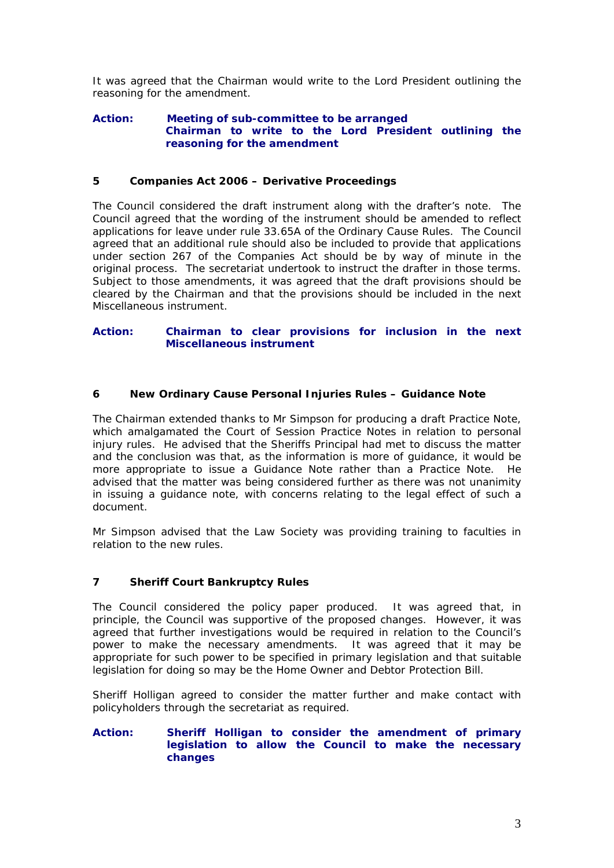It was agreed that the Chairman would write to the Lord President outlining the reasoning for the amendment.

#### **Action: Meeting of sub-committee to be arranged Chairman to write to the Lord President outlining the reasoning for the amendment**

#### **5 Companies Act 2006 – Derivative Proceedings**

The Council considered the draft instrument along with the drafter's note. The Council agreed that the wording of the instrument should be amended to reflect applications for leave under rule 33.65A of the Ordinary Cause Rules. The Council agreed that an additional rule should also be included to provide that applications under section 267 of the Companies Act should be by way of minute in the original process. The secretariat undertook to instruct the drafter in those terms. Subject to those amendments, it was agreed that the draft provisions should be cleared by the Chairman and that the provisions should be included in the next Miscellaneous instrument.

### **Action: Chairman to clear provisions for inclusion in the next Miscellaneous instrument**

### **6 New Ordinary Cause Personal Injuries Rules – Guidance Note**

The Chairman extended thanks to Mr Simpson for producing a draft Practice Note, which amalgamated the Court of Session Practice Notes in relation to personal injury rules. He advised that the Sheriffs Principal had met to discuss the matter and the conclusion was that, as the information is more of guidance, it would be more appropriate to issue a Guidance Note rather than a Practice Note. He advised that the matter was being considered further as there was not unanimity in issuing a guidance note, with concerns relating to the legal effect of such a document.

Mr Simpson advised that the Law Society was providing training to faculties in relation to the new rules.

### **7 Sheriff Court Bankruptcy Rules**

The Council considered the policy paper produced. It was agreed that, in principle, the Council was supportive of the proposed changes. However, it was agreed that further investigations would be required in relation to the Council's power to make the necessary amendments. It was agreed that it may be appropriate for such power to be specified in primary legislation and that suitable legislation for doing so may be the Home Owner and Debtor Protection Bill.

Sheriff Holligan agreed to consider the matter further and make contact with policyholders through the secretariat as required.

#### **Action: Sheriff Holligan to consider the amendment of primary legislation to allow the Council to make the necessary changes**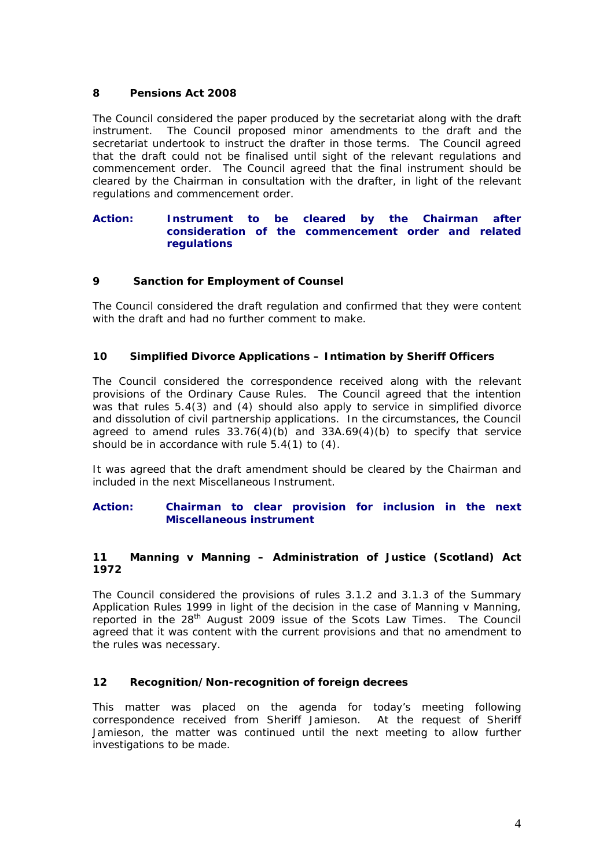# **8 Pensions Act 2008**

The Council considered the paper produced by the secretariat along with the draft instrument. The Council proposed minor amendments to the draft and the secretariat undertook to instruct the drafter in those terms. The Council agreed that the draft could not be finalised until sight of the relevant regulations and commencement order. The Council agreed that the final instrument should be cleared by the Chairman in consultation with the drafter, in light of the relevant regulations and commencement order.

### **Action: Instrument to be cleared by the Chairman after consideration of the commencement order and related regulations**

## **9 Sanction for Employment of Counsel**

The Council considered the draft regulation and confirmed that they were content with the draft and had no further comment to make.

## **10 Simplified Divorce Applications – Intimation by Sheriff Officers**

The Council considered the correspondence received along with the relevant provisions of the Ordinary Cause Rules. The Council agreed that the intention was that rules 5.4(3) and (4) should also apply to service in simplified divorce and dissolution of civil partnership applications. In the circumstances, the Council agreed to amend rules  $33.76(4)(b)$  and  $33A.69(4)(b)$  to specify that service should be in accordance with rule 5.4(1) to (4).

It was agreed that the draft amendment should be cleared by the Chairman and included in the next Miscellaneous Instrument.

#### **Action: Chairman to clear provision for inclusion in the next Miscellaneous instrument**

### **11 Manning v Manning – Administration of Justice (Scotland) Act 1972**

The Council considered the provisions of rules 3.1.2 and 3.1.3 of the Summary Application Rules 1999 in light of the decision in the case of Manning v Manning, reported in the 28<sup>th</sup> August 2009 issue of the Scots Law Times. The Council agreed that it was content with the current provisions and that no amendment to the rules was necessary.

### **12 Recognition/Non-recognition of foreign decrees**

This matter was placed on the agenda for today's meeting following correspondence received from Sheriff Jamieson. At the request of Sheriff Jamieson, the matter was continued until the next meeting to allow further investigations to be made.